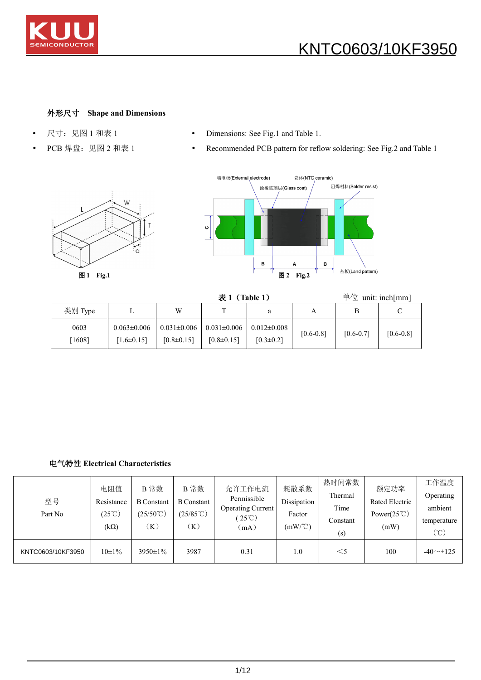

## 外形尺寸 **Shape and Dimensions**

- 
- 
- 尺寸: 见图 1 和表 1 <br>• Dimensions: See Fig.1 and Table 1.
- PCB 焊盘: 见图 2 和表 1 Recommended PCB pattern for reflow soldering: See Fig.2 and Table 1





表 **1**(**Table 1**) 单位 unit: inch[mm]

| 类别 Type  | ∸                 | W                 | $\mathbf{r}$      | a                 | $\mathbf{r}$  | D             |               |
|----------|-------------------|-------------------|-------------------|-------------------|---------------|---------------|---------------|
| 0603     | $0.063 \pm 0.006$ | $0.031 \pm 0.006$ | $0.031 \pm 0.006$ | $0.012 \pm 0.008$ | $[0.6 - 0.8]$ |               |               |
| $1608$ ] | $1.6 \pm 0.15$    | $[0.8 \pm 0.15]$  | $[0.8 \pm 0.15]$  | $[0.3 \pm 0.2]$   |               | $[0.6 - 0.7]$ | $[0.6 - 0.8]$ |

### 电气特性 **Electrical Characteristics**

| 型号<br>Part No     | 电阻值<br>Resistance<br>$(25^{\circ}\text{C})$<br>$(k\Omega)$ | B 常数<br><b>B</b> Constant<br>$(25/50^{\circ}\text{C})$<br>(K) | B 常数<br><b>B</b> Constant<br>$(25/85^{\circ}\text{C})$<br>(K) | 允许工作电流<br>Permissible<br><b>Operating Current</b><br>$25^{\circ}$ C)<br>(mA) | 耗散系数<br>Dissipation<br>Factor<br>$(mW)^{\circ}C)$ | 热时间常数<br>Thermal<br>Time<br>Constant<br>(s) | 额定功率<br>Rated Electric<br>Power $(25^{\circ}C)$<br>(mW) | 工作温度<br><b>Operating</b><br>ambient<br>temperature<br>$C^{\circ}$ |  |
|-------------------|------------------------------------------------------------|---------------------------------------------------------------|---------------------------------------------------------------|------------------------------------------------------------------------------|---------------------------------------------------|---------------------------------------------|---------------------------------------------------------|-------------------------------------------------------------------|--|
| KNTC0603/10KF3950 | $10\pm1\%$                                                 | $3950 \pm 1\%$                                                | 3987                                                          | 0.31                                                                         | 1.0                                               | $<$ 5                                       | 100                                                     | $-40$ $-125$                                                      |  |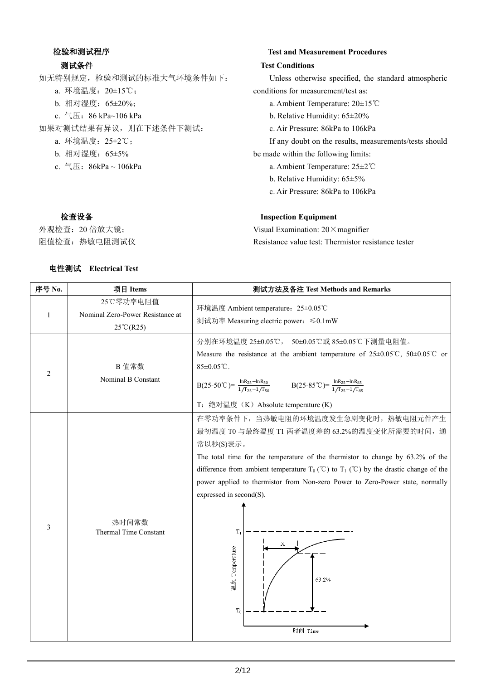## 检验和测试程序

#### 测试条件

如无特别规定,检验和测试的标准大气环境条件如下: a. 环境温度:20±15℃; b. 相对湿度:65±20%; c. 气压:86 kPa~106 kPa 如果对测试结果有异议,则在下述条件下测试: a. 环境温度:25±2℃; b. 相对湿度:65±5% c. 气压:86kPa ~ 106kPa

#### **Test and Measurement Procedures**

#### **Test Conditions**

Unless otherwise specified, the standard atmospheric conditions for measurement/test as:

a. Ambient Temperature: 20±15℃

b. Relative Humidity: 65±20%

c. Air Pressure: 86kPa to 106kPa

If any doubt on the results, measurements/tests should be made within the following limits:

- a. Ambient Temperature: 25±2℃
- b. Relative Humidity: 65±5%

**Inspection Equipment**

Visual Examination:  $20 \times$  magnifier

c. Air Pressure: 86kPa to 106kPa

Resistance value test: Thermistor resistance tester

## 检查设备

外观检查:20 倍放大镜; 阻值检查:热敏电阻测试仪

#### 电性测试 **Electrical Test**

| 序号 No.         | 项目 Items                                                            | 测试方法及备注 Test Methods and Remarks                                                                                                                                                                                                                                                                                                                                                                                                                                |  |  |  |  |  |
|----------------|---------------------------------------------------------------------|-----------------------------------------------------------------------------------------------------------------------------------------------------------------------------------------------------------------------------------------------------------------------------------------------------------------------------------------------------------------------------------------------------------------------------------------------------------------|--|--|--|--|--|
| $\mathbf{1}$   | 25℃零功率电阻值<br>Nominal Zero-Power Resistance at<br>$25^{\circ}C(R25)$ | 环境温度 Ambient temperature: 25±0.05℃                                                                                                                                                                                                                                                                                                                                                                                                                              |  |  |  |  |  |
| $\overline{c}$ | B 值常数<br>Nominal B Constant                                         | 分别在环境温度 25±0.05℃, 50±0.05℃或 85±0.05℃下测量电阻值。<br>Measure the resistance at the ambient temperature of $25\pm0.05^{\circ}\text{C}$ , $50\pm0.05^{\circ}\text{C}$ or<br>$85 \pm 0.05$ °C.<br>$B(25-50^{\circ}\text{C}) = \frac{\ln R_{25} - \ln R_{50}}{1/T_{25} - 1/T_{50}}$ $B(25-85^{\circ}\text{C}) = \frac{\ln R_{25} - \ln R_{85}}{1/T_{25} - 1/T_{85}}$<br>T: 绝对温度 (K) Absolute temperature (K)                                                              |  |  |  |  |  |
| $\mathfrak{Z}$ | 热时间常数<br>Thermal Time Constant                                      | 在零功率条件下, 当热敏电阻的环境温度发生急剧变化时, 热敏电阻元件产生<br>最初温度 T0 与最终温度 T1 两者温度差的 63.2%的温度变化所需要的时间, 通<br>常以秒(S)表示。<br>The total time for the temperature of the thermistor to change by 63.2% of the<br>difference from ambient temperature $T_0$ (°C) to $T_1$ (°C) by the drastic change of the<br>power applied to thermistor from Non-zero Power to Zero-Power state, normally<br>expressed in second(S).<br>$T_1$<br>X<br>Temperature<br>63.2%<br>地<br>頭<br>$T_0$<br>时间 Time |  |  |  |  |  |

2/12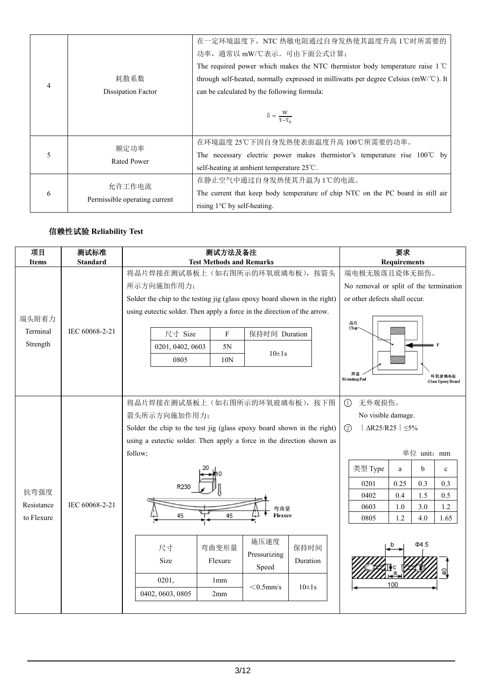|   |                                         | 在一定环境温度下, NTC 热敏电阻通过自身发热使其温度升高 1℃时所需要的                                                 |  |  |  |
|---|-----------------------------------------|----------------------------------------------------------------------------------------|--|--|--|
|   |                                         | 功率, 通常以 mW/℃表示。可由下面公式计算:                                                               |  |  |  |
|   |                                         | The required power which makes the NTC thermistor body temperature raise $1^{\circ}$ C |  |  |  |
| 4 | 耗散系数                                    | through self-heated, normally expressed in milliwatts per degree Celsius (mW/°C). It   |  |  |  |
|   | Dissipation Factor                      | can be calculated by the following formula:                                            |  |  |  |
|   |                                         |                                                                                        |  |  |  |
|   |                                         | $\delta = \frac{W}{T-T_0}$                                                             |  |  |  |
|   |                                         |                                                                                        |  |  |  |
|   | 额定功率                                    | 在环境温度25℃下因自身发热使表面温度升高100℃所需要的功率。                                                       |  |  |  |
| 5 | <b>Rated Power</b>                      | The necessary electric power makes thermistor's temperature rise $100^{\circ}$ C by    |  |  |  |
|   |                                         | self-heating at ambient temperature 25 ℃.                                              |  |  |  |
|   |                                         | 在静止空气中通过自身发热使其升温为1℃的电流。                                                                |  |  |  |
| 6 | 允许工作电流<br>Permissible operating current | The current that keep body temperature of chip NTC on the PC board in still air        |  |  |  |
|   |                                         | rising $1^{\circ}$ C by self-heating.                                                  |  |  |  |

# 信赖性试验 **Reliability Test**

| 项目<br><b>Items</b> | 测试标准<br><b>Standard</b> | 测试方法及备注<br><b>Test Methods and Remarks</b>                                          | 要求<br><b>Requirements</b>                                |
|--------------------|-------------------------|-------------------------------------------------------------------------------------|----------------------------------------------------------|
|                    |                         | 将晶片焊接在测试基板上(如右图所示的环氧玻璃布板), 按箭头                                                      | 端电极无脱落且瓷体无损伤。                                            |
|                    |                         | 所示方向施加作用力;                                                                          | No removal or split of the termination                   |
|                    |                         | Solder the chip to the testing jig (glass epoxy board shown in the right)           | or other defects shall occur.                            |
|                    |                         | using eutectic solder. Then apply a force in the direction of the arrow.            |                                                          |
| 端头附着力<br>Terminal  | IEC 60068-2-21          |                                                                                     | 晶片<br>Chip <sup>-</sup>                                  |
| Strength           |                         | 尺寸 Size<br>保持时间 Duration<br>$\mathbf{F}$                                            |                                                          |
|                    |                         | 0201, 0402, 0603<br>5N<br>$10 \pm 1s$                                               |                                                          |
|                    |                         | 0805<br>10N                                                                         | MMM                                                      |
|                    |                         |                                                                                     | 焊盘<br>环氧玻璃布板<br>Glass Epoxy Board<br><b>Mounting Pad</b> |
|                    |                         |                                                                                     |                                                          |
|                    |                         | 将晶片焊接在测试基板上(如右图所示的环氧玻璃布板), 按下图                                                      | 无外观损伤。<br>$\odot$                                        |
|                    |                         | 箭头所示方向施加作用力;                                                                        | No visible damage.                                       |
|                    |                         | Solder the chip to the test jig (glass epoxy board shown in the right)              | $\Delta$ R25/R25   $\leq$ 5%<br>$\circled{2}$            |
|                    |                         | using a eutectic solder. Then apply a force in the direction shown as               |                                                          |
|                    |                         | follow;                                                                             | 单位 unit: mm                                              |
|                    |                         |                                                                                     | 类型 Type<br>$\mathbf b$<br>a<br>$\mathbf c$               |
|                    |                         |                                                                                     | 0.25<br>0.3<br>0.3<br>0201                               |
| 抗弯强度               |                         |                                                                                     | 0.5<br>0402<br>0.4<br>1.5                                |
| Resistance         | IEC 60068-2-21          | 弯曲量<br>45<br>Flexure                                                                | 1.2<br>0603<br>1.0<br>3.0                                |
| to Flexure         |                         | 45                                                                                  | 1.2<br>0805<br>4.0<br>1.65                               |
|                    |                         | 施压速度<br>保持时间<br>尺寸<br>弯曲变形量<br>Pressurizing<br>Size<br>Flexure<br>Duration<br>Speed | $\Phi$ 4.5                                               |
|                    |                         | 0201,<br>1 <sub>mm</sub>                                                            |                                                          |
|                    |                         | $<$ 0.5mm/s<br>$10\pm1s$<br>0402, 0603, 0805<br>2mm                                 | 100                                                      |
|                    |                         |                                                                                     |                                                          |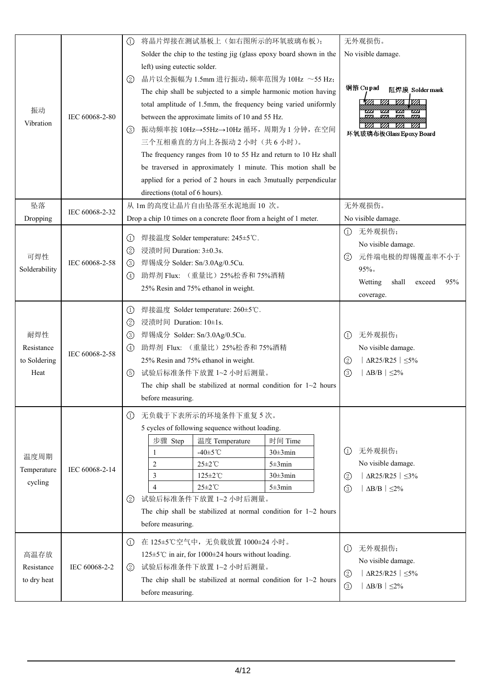|               |                | 将晶片焊接在测试基板上(如右图所示的环氧玻璃布板);<br>(1)                                                | 无外观损伤。                                                                                                           |  |  |
|---------------|----------------|----------------------------------------------------------------------------------|------------------------------------------------------------------------------------------------------------------|--|--|
|               |                | Solder the chip to the testing jig (glass epoxy board shown in the               | No visible damage.                                                                                               |  |  |
|               |                | left) using eutectic solder.                                                     |                                                                                                                  |  |  |
|               |                | 晶片以全振幅为 1.5mm 进行振动, 频率范围为 10Hz ~55 Hz;<br>(2)                                    |                                                                                                                  |  |  |
|               |                | The chip shall be subjected to a simple harmonic motion having                   | 铜箔 Cupad<br>阻焊膜 Solder mask                                                                                      |  |  |
|               |                | total amplitude of 1.5mm, the frequency being varied uniformly                   | 1922 VZA VZA 1922                                                                                                |  |  |
| 振动            | IEC 60068-2-80 | between the approximate limits of 10 and 55 Hz.                                  | $\overline{\mathbf{z}}$<br>w<br>$\mathbf{z}$<br>$\overline{Z}$                                                   |  |  |
| Vibration     |                | 振动频率按 10Hz→55Hz→10Hz 循环, 周期为 1 分钟, 在空间<br>(3)                                    | <i>VA</i><br>环氧玻璃布板Glass Epoxy Board                                                                             |  |  |
|               |                | 三个互相垂直的方向上各振动2小时(共6小时)。                                                          |                                                                                                                  |  |  |
|               |                | The frequency ranges from 10 to 55 Hz and return to 10 Hz shall                  |                                                                                                                  |  |  |
|               |                | be traversed in approximately 1 minute. This motion shall be                     |                                                                                                                  |  |  |
|               |                | applied for a period of 2 hours in each 3mutually perpendicular                  |                                                                                                                  |  |  |
|               |                | directions (total of 6 hours).                                                   |                                                                                                                  |  |  |
| 坠落            |                | 从 1m 的高度让晶片自由坠落至水泥地面 10 次。                                                       | 无外观损伤。                                                                                                           |  |  |
| Dropping      | IEC 60068-2-32 | Drop a chip 10 times on a concrete floor from a height of 1 meter.               | No visible damage.                                                                                               |  |  |
|               |                |                                                                                  | 无外观损伤;<br>$\left( 1\right)$                                                                                      |  |  |
|               |                | 焊接温度 Solder temperature: 245±5℃.<br>∪<br>浸渍时间 Duration: 3±0.3s.                  | No visible damage.                                                                                               |  |  |
| 可焊性           | IEC 60068-2-58 | ②<br>焊锡成分 Solder: Sn/3.0Ag/0.5Cu.<br>(3)                                         | 元件端电极的焊锡覆盖率不小于<br>(2)                                                                                            |  |  |
| Solderability |                | 助焊剂 Flux: (重量比) 25%松香和 75%酒精<br>$\left( 4\right)$                                | 95%                                                                                                              |  |  |
|               |                | 25% Resin and 75% ethanol in weight.                                             | Wetting<br>shall<br>95%<br>exceed                                                                                |  |  |
|               |                |                                                                                  | coverage.                                                                                                        |  |  |
|               |                | 焊接温度 Solder temperature: 260±5℃.<br>$\circ$                                      |                                                                                                                  |  |  |
|               |                | 浸渍时间 Duration: 10±1s.<br>(2)                                                     |                                                                                                                  |  |  |
| 耐焊性           |                | 焊锡成分 Solder: Sn/3.0Ag/0.5Cu.<br>(3)                                              | 无外观损伤;<br>$\circ$                                                                                                |  |  |
| Resistance    | IEC 60068-2-58 | 助焊剂 Flux: (重量比) 25%松香和 75%酒精<br>(4)                                              | No visible damage.                                                                                               |  |  |
| to Soldering  |                | 25% Resin and 75% ethanol in weight.                                             | $ \Delta R25/R25  \leq 5\%$<br>$\circled{2}$                                                                     |  |  |
| Heat          |                | 试验后标准条件下放置 1~2 小时后测量。<br>(5)                                                     | $\Delta B/B$   $\leq$ 2%<br>$\circled{3}$                                                                        |  |  |
|               |                | The chip shall be stabilized at normal condition for $1~2$ hours                 |                                                                                                                  |  |  |
|               |                | before measuring.                                                                |                                                                                                                  |  |  |
|               |                | 无负载于下表所示的环境条件下重复5次。<br>$\left( 1\right)$                                         |                                                                                                                  |  |  |
|               |                | 5 cycles of following sequence without loading.                                  |                                                                                                                  |  |  |
|               |                | 步骤 Step<br>温度 Temperature<br>时间 Time                                             |                                                                                                                  |  |  |
| 温度周期          |                | -40 $\pm$ 5 $\degree$ C<br>$30\pm 3$ min                                         | 无外观损伤;<br>$\odot$                                                                                                |  |  |
| Temperature   | IEC 60068-2-14 | $\overline{2}$<br>$25 \pm 2^{\circ}$ C<br>$5 \pm 3$ min                          | No visible damage.                                                                                               |  |  |
| cycling       |                | 3<br>$125 \pm 2^{\circ}$ C<br>$30\pm3$ min                                       | $ \Delta R25/R25  \leq 3\%$<br>$\circled{2}$                                                                     |  |  |
|               |                | $25 \pm 2^{\circ}$ C<br>$5 \pm 3$ min<br>$\overline{4}$<br>试验后标准条件下放置 1~2 小时后测量。 | $ \Delta B/B  \leq 2\%$<br>$\circled{3}$                                                                         |  |  |
|               |                | (2)<br>The chip shall be stabilized at normal condition for $1~2$ hours          |                                                                                                                  |  |  |
|               |                | before measuring.                                                                |                                                                                                                  |  |  |
|               |                |                                                                                  |                                                                                                                  |  |  |
|               |                | 在 125±5℃空气中, 无负载放置 1000±24 小时。<br>(1)                                            | 无外观损伤;<br>$\left( 1\right)$                                                                                      |  |  |
| 高温存放          |                | 125±5℃ in air, for 1000±24 hours without loading.                                | No visible damage.<br>$  \Delta R25/R25   \leq 5\%$<br>$\circled{2}$<br>$ \Delta B/B  \leq 2\%$<br>$\circled{3}$ |  |  |
| Resistance    | IEC 60068-2-2  | 试验后标准条件下放置 1~2 小时后测量。<br>(2)                                                     |                                                                                                                  |  |  |
| to dry heat   |                | The chip shall be stabilized at normal condition for $1~2$ hours                 |                                                                                                                  |  |  |
|               |                | before measuring.                                                                |                                                                                                                  |  |  |
|               |                |                                                                                  |                                                                                                                  |  |  |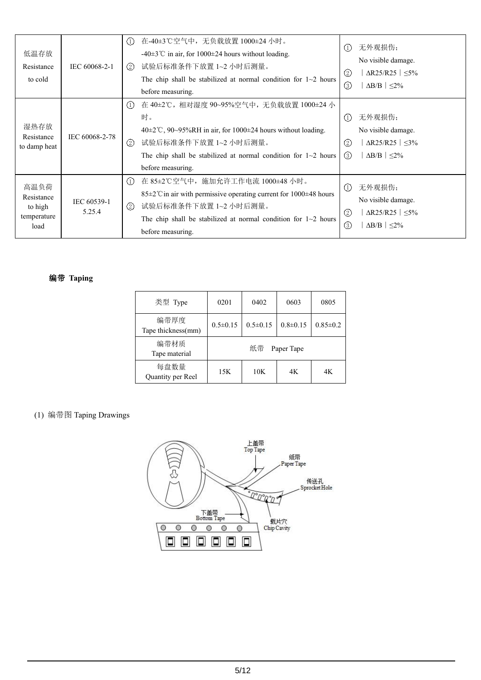| 低温存放<br>Resistance<br>to cold                        | IEC 60068-2-1         | 在-40±3℃空气中, 无负载放置 1000±24 小时。<br>$\left( 1\right)$<br>-40 $\pm$ 3°C in air, for 1000 $\pm$ 24 hours without loading.<br>试验后标准条件下放置 1~2 小时后测量。<br>(2)<br>The chip shall be stabilized at normal condition for $1~2$ hours<br>before measuring.                            | 无外观损伤;<br>(1)<br>No visible damage.<br>$\Delta R25/R25$   $\leq$ 5%<br>$\circled{2}$<br>$\circled{3}$<br>$\Delta B/B$   $\leq$ 2%        |
|------------------------------------------------------|-----------------------|--------------------------------------------------------------------------------------------------------------------------------------------------------------------------------------------------------------------------------------------------------------------------|------------------------------------------------------------------------------------------------------------------------------------------|
| 湿热存放<br>Resistance<br>to damp heat                   | IEC 60068-2-78        | 在 40±2℃, 相对湿度 90~95%空气中, 无负载放置 1000±24 小<br>(1)<br>时。<br>$40\pm2\degree$ C, 90~95%RH in air, for 1000 $\pm$ 24 hours without loading.<br>$\circled{2}$<br>试验后标准条件下放置 1~2 小时后测量。<br>The chip shall be stabilized at normal condition for $1~2$ hours<br>before measuring. | 无外观损伤;<br>(1)<br>No visible damage.<br>$\Delta$ R25/R25 $\leq$ 3%<br>$\left( 2\right)$<br>$\Delta B/B$   $\leq$ 2%<br>$\left( 3 \right)$ |
| 高温负荷<br>Resistance<br>to high<br>temperature<br>load | IEC 60539-1<br>5.25.4 | 在 85±2℃空气中, 施加允许工作电流 1000±48 小时。<br>(1)<br>85±2°C in air with permissive operating current for 1000±48 hours<br>$\circled{2}$<br>试验后标准条件下放置 1~2 小时后测量。<br>The chip shall be stabilized at normal condition for $1~2$ hours<br>before measuring.                          | 无外观损伤;<br>(1)<br>No visible damage.<br>$\circled{2}$<br>$\Delta$ R25/R25 $\leq$ 5%<br>$\circledS$<br>$\Delta B/B$   $\leq$ 2%            |

## 编带 **Taping**

| 类型 Type                    | 0201           | 0402             | 0603           | 0805           |  |  |
|----------------------------|----------------|------------------|----------------|----------------|--|--|
| 编带厚度<br>Tape thickness(mm) | $0.5 \pm 0.15$ | $0.5 \pm 0.15$   | $0.8 \pm 0.15$ | $0.85 \pm 0.2$ |  |  |
| 编带材质<br>Tape material      |                | 纸带<br>Paper Tape |                |                |  |  |
| 每盘数量<br>Quantity per Reel  | 15K            | 10K              | 4K             | 4K             |  |  |

# (1) 编带图 Taping Drawings

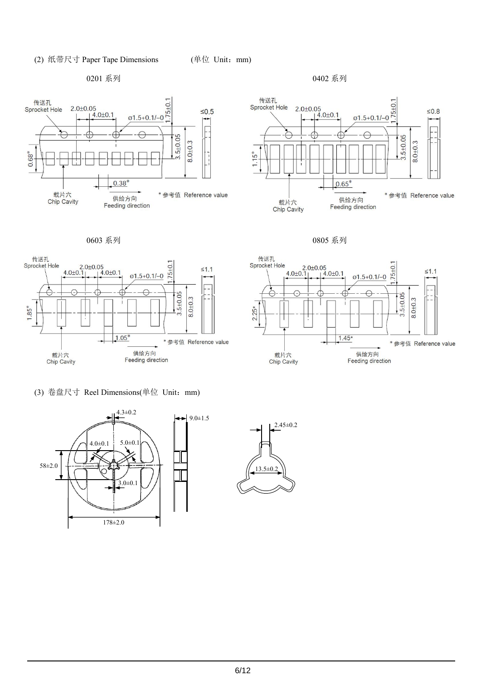#### (2) 纸带尺寸 Paper Tape Dimensions (单位 Unit: mm)

0201 系列 0402 系列











(3) 卷盘尺寸 Reel Dimensions(单位 Unit:mm)



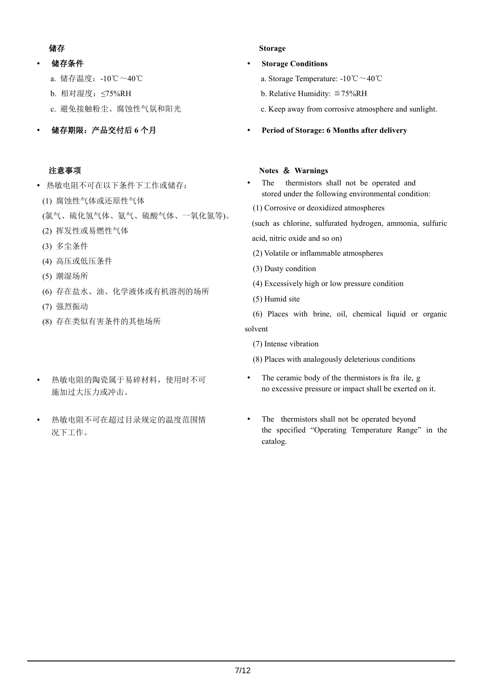## はんしょう はんしょう はんしょう はんしょう はんしょう はんしょう はんしょう はんしゅう はんしゅう しょうしょう

## 储存条件

- a. 储存温度:-10℃~40℃
- b. 相对湿度:≤75%RH
- c. 避免接触粉尘、腐蚀性气氛和阳光
- 储存期限:产品交付后 **6** 个月

## 注意事项

# • 热敏电阻不可在以下条件下工作或储存: **•** The

- (1) 腐蚀性气体或还原性气体
- (氯气、硫化氢气体、氨气、硫酸气体、一氧化氮等)。
- (2) 挥发性或易燃性气体
- (3) 多尘条件
- (4) 高压或低压条件
- (5) 潮湿场所
- (6) 存在盐水、油、化学液体或有机溶剂的场所
- (7) 强烈振动
- (8) 存在类似有害条件的其他场所
- 热敏电阻的陶瓷属于易碎材料,使用时不可 施加过大压力或冲击。
- 热敏电阻不可在超过目录规定的温度范围情 况下工作。

#### **Storage**

## **Storage Conditions**

- a. Storage Temperature: -10℃~40℃
- b. Relative Humidity:  $\leq 75\%$ RH
- c. Keep away from corrosive atmosphere and sunlight.
- **Period of Storage: 6 Months after delivery**

## **Notes** & **Warnings**

- thermistors shall not be operated and stored under the following environmental condition:
- (1) Corrosive or deoxidized atmospheres

(such as chlorine, sulfurated hydrogen, ammonia, sulfuric

- acid, nitric oxide and so on)
- (2) Volatile or inflammable atmospheres
- (3) Dusty condition
- (4) Excessively high orlow pressure condition
- (5) Humid site

(6) Places with brine, oil, chemical liquid or organic solvent

(7) Intense vibration

(8) Places with analogously deleterious conditions

- The ceramic body of the thermistors is fra ile, g no excessive pressure or impact shall be exerted on it.
- The thermistors shall not be operated beyond the specified "Operating Temperature Range" in the catalog.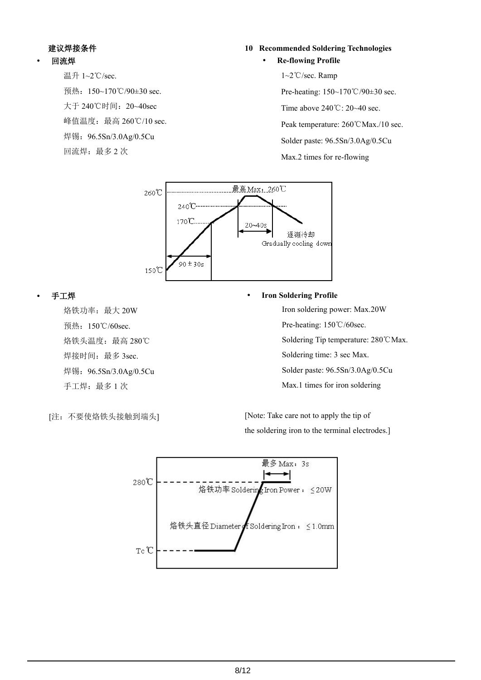# 建议焊接条件

# 回流焊

温升 1~2℃/sec. 预热:150~170℃/90±30 sec. 大于 240℃时间:20~40sec 峰值温度: 最高 260℃/10 sec. 焊锡:96.5Sn/3.0Ag/0.5Cu 回流焊:最多2次

#### **10 Recommended Soldering Technologies**

#### **Re-flowing Profile**

1~2℃/sec. Ramp

Pre-heating: 150~170℃/90±30 sec.

Time above 240℃: 20~40 sec.

Peak temperature: 260℃Max./10 sec.

Solder paste: 96.5Sn/3.0Ag/0.5Cu

Max.2 times for re-flowing



#### 手工焊

烙铁功率:最大 20W 预热:150℃/60sec. 烙铁头温度:最高 280℃ 焊接时间: 最多 3sec. 焊锡:96.5Sn/3.0Ag/0.5Cu 手工焊:最多1次

#### **Iron Soldering Profile**

Iron soldering power: Max.20W

Pre-heating: 150℃/60sec.

Soldering Tip temperature: 280℃Max.

Soldering time: 3 sec Max.

Solder paste: 96.5Sn/3.0Ag/0.5Cu

Max.1 times for iron soldering

[注:不要使烙铁头接触到端头]

[Note: Take care not to apply the tip of the soldering iron to the terminal electrodes.]

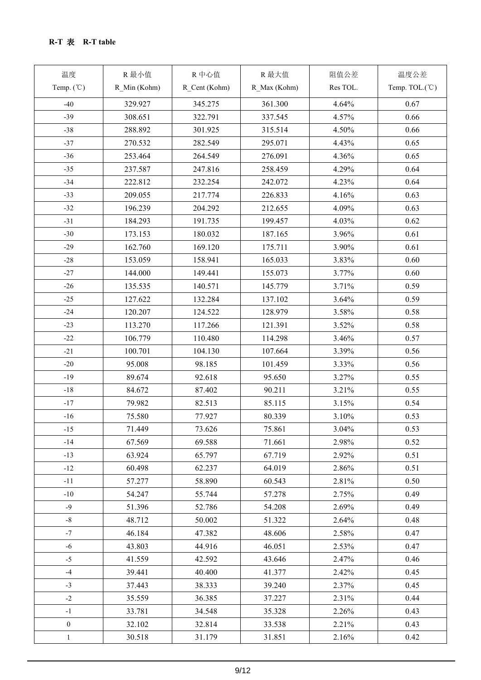| 温度                      | R 最小值        | R中心值          | R 最大值        | 阻值公差     | 温度公差           |
|-------------------------|--------------|---------------|--------------|----------|----------------|
| Temp. $({\mathcal{C}})$ | R_Min (Kohm) | R_Cent (Kohm) | R_Max (Kohm) | Res TOL. | Temp. TOL.(°C) |
| $-40$                   | 329.927      | 345.275       | 361.300      | 4.64%    | 0.67           |
| $-39$                   | 308.651      | 322.791       | 337.545      | 4.57%    | 0.66           |
| $-38$                   | 288.892      | 301.925       | 315.514      | 4.50%    | 0.66           |
| $-37$                   | 270.532      | 282.549       | 295.071      | 4.43%    | 0.65           |
| $-36$                   | 253.464      | 264.549       | 276.091      | 4.36%    | 0.65           |
| $-35$                   | 237.587      | 247.816       | 258.459      | 4.29%    | 0.64           |
| $-34$                   | 222.812      | 232.254       | 242.072      | 4.23%    | 0.64           |
| $-33$                   | 209.055      | 217.774       | 226.833      | 4.16%    | 0.63           |
| $-32$                   | 196.239      | 204.292       | 212.655      | 4.09%    | 0.63           |
| $-31$                   | 184.293      | 191.735       | 199.457      | 4.03%    | 0.62           |
| $-30$                   | 173.153      | 180.032       | 187.165      | 3.96%    | 0.61           |
| $-29$                   | 162.760      | 169.120       | 175.711      | 3.90%    | 0.61           |
| $-28$                   | 153.059      | 158.941       | 165.033      | 3.83%    | 0.60           |
| $-27$                   |              |               |              |          |                |
| $-26$                   | 144.000      | 149.441       | 155.073      | 3.77%    | 0.60<br>0.59   |
|                         | 135.535      | 140.571       | 145.779      | 3.71%    |                |
| $-25$                   | 127.622      | 132.284       | 137.102      | 3.64%    | 0.59           |
| $-24$                   | 120.207      | 124.522       | 128.979      | 3.58%    | 0.58           |
| $-23$                   | 113.270      | 117.266       | 121.391      | 3.52%    | 0.58           |
| $-22$                   | 106.779      | 110.480       | 114.298      | 3.46%    | 0.57           |
| $-21$                   | 100.701      | 104.130       | 107.664      | 3.39%    | 0.56           |
| $-20$                   | 95.008       | 98.185        | 101.459      | 3.33%    | 0.56           |
| $-19$                   | 89.674       | 92.618        | 95.650       | 3.27%    | 0.55           |
| $-18$                   | 84.672       | 87.402        | 90.211       | 3.21%    | 0.55           |
| $-17$                   | 79.982       | 82.513        | 85.115       | 3.15%    | 0.54           |
| $-16$                   | 75.580       | 77.927        | 80.339       | 3.10%    | 0.53           |
| $-15$                   | 71.449       | 73.626        | 75.861       | 3.04%    | 0.53           |
| $-14$                   | 67.569       | 69.588        | 71.661       | 2.98%    | 0.52           |
| $-13$                   | 63.924       | 65.797        | 67.719       | 2.92%    | 0.51           |
| $-12$                   | 60.498       | 62.237        | 64.019       | 2.86%    | 0.51           |
| $-11$                   | 57.277       | 58.890        | 60.543       | 2.81%    | 0.50           |
| $-10$                   | 54.247       | 55.744        | 57.278       | 2.75%    | 0.49           |
| $-9$                    | 51.396       | 52.786        | 54.208       | 2.69%    | 0.49           |
| $-8$                    | 48.712       | 50.002        | 51.322       | 2.64%    | 0.48           |
| $-7$                    | 46.184       | 47.382        | 48.606       | 2.58%    | 0.47           |
| $-6$                    | 43.803       | 44.916        | 46.051       | 2.53%    | 0.47           |
| $-5$                    | 41.559       | 42.592        | 43.646       | 2.47%    | 0.46           |
| $-4$                    | 39.441       | 40.400        | 41.377       | 2.42%    | 0.45           |
| $-3$                    | 37.443       | 38.333        | 39.240       | 2.37%    | 0.45           |
| $-2$                    | 35.559       | 36.385        | 37.227       | 2.31%    | 0.44           |
| $-1$                    | 33.781       | 34.548        | 35.328       | 2.26%    | 0.43           |
| $\boldsymbol{0}$        | 32.102       | 32.814        | 33.538       | 2.21%    | 0.43           |
| $\mathbf{1}$            | 30.518       | 31.179        | 31.851       | 2.16%    | 0.42           |
|                         |              |               |              |          |                |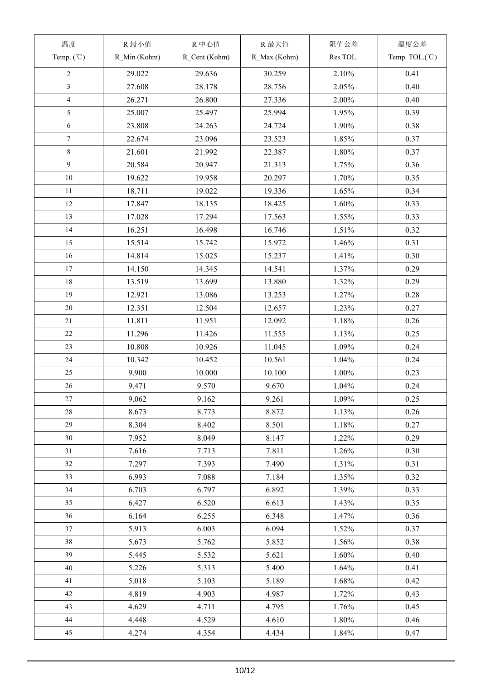| 温度                      | R 最小值        | R中心值          | R 最大值        | 阻值公差     | 温度公差           |
|-------------------------|--------------|---------------|--------------|----------|----------------|
| Temp. $({\degree}C)$    | R Min (Kohm) | R_Cent (Kohm) | R_Max (Kohm) | Res TOL. | Temp. TOL.(°C) |
| $\overline{2}$          | 29.022       | 29.636        | 30.259       | 2.10%    | 0.41           |
| $\overline{\mathbf{3}}$ | 27.608       | 28.178        | 28.756       | 2.05%    | 0.40           |
| $\overline{4}$          | 26.271       | 26.800        | 27.336       | 2.00%    | 0.40           |
| 5                       | 25.007       | 25.497        | 25.994       | 1.95%    | 0.39           |
| 6                       | 23.808       | 24.263        | 24.724       | 1.90%    | 0.38           |
| $\overline{7}$          | 22.674       | 23.096        | 23.523       | 1.85%    | 0.37           |
| $8\,$                   |              |               |              |          |                |
| 9                       | 21.601       | 21.992        | 22.387       | 1.80%    | 0.37           |
|                         | 20.584       | 20.947        | 21.313       | 1.75%    | 0.36           |
| $10\,$                  | 19.622       | 19.958        | 20.297       | 1.70%    | 0.35           |
| 11                      | 18.711       | 19.022        | 19.336       | 1.65%    | 0.34           |
| 12                      | 17.847       | 18.135        | 18.425       | 1.60%    | 0.33           |
| 13                      | 17.028       | 17.294        | 17.563       | 1.55%    | 0.33           |
| 14                      | 16.251       | 16.498        | 16.746       | 1.51%    | 0.32           |
| 15                      | 15.514       | 15.742        | 15.972       | 1.46%    | 0.31           |
| $16\,$                  | 14.814       | 15.025        | 15.237       | 1.41%    | 0.30           |
| 17                      | 14.150       | 14.345        | 14.541       | 1.37%    | 0.29           |
| 18                      | 13.519       | 13.699        | 13.880       | 1.32%    | 0.29           |
| 19                      | 12.921       | 13.086        | 13.253       | 1.27%    | 0.28           |
| 20                      | 12.351       | 12.504        | 12.657       | 1.23%    | 0.27           |
| 21                      | 11.811       | 11.951        | 12.092       | 1.18%    | 0.26           |
| 22                      | 11.296       | 11.426        | 11.555       | 1.13%    | 0.25           |
| 23                      | 10.808       | 10.926        | 11.045       | 1.09%    | 0.24           |
| 24                      | 10.342       | 10.452        | 10.561       | 1.04%    | 0.24           |
| 25                      | 9.900        | 10.000        | 10.100       | 1.00%    | 0.23           |
| 26                      | 9.471        | 9.570         | 9.670        | 1.04%    | 0.24           |
| 27                      | 9.062        | 9.162         | 9.261        | 1.09%    | 0.25           |
| 28                      | 8.673        | 8.773         | 8.872        | 1.13%    | 0.26           |
| 29                      | 8.304        | 8.402         | 8.501        | 1.18%    | 0.27           |
| 30                      | 7.952        | 8.049         | 8.147        | 1.22%    | 0.29           |
| 31                      | 7.616        | 7.713         | 7.811        | 1.26%    | 0.30           |
| 32                      | 7.297        | 7.393         | 7.490        | 1.31%    | 0.31           |
| 33                      | 6.993        | 7.088         | 7.184        | 1.35%    | 0.32           |
| 34                      | 6.703        | 6.797         | 6.892        | 1.39%    | 0.33           |
| 35                      | 6.427        | 6.520         | 6.613        | 1.43%    | 0.35           |
| 36                      | 6.164        | 6.255         | 6.348        | 1.47%    | 0.36           |
| 37                      |              |               |              |          | 0.37           |
|                         | 5.913        | 6.003         | 6.094        | 1.52%    |                |
| 38                      | 5.673        | 5.762         | 5.852        | 1.56%    | 0.38           |
| 39                      | 5.445        | 5.532         | 5.621        | 1.60%    | 0.40           |
| 40                      | 5.226        | 5.313         | 5.400        | 1.64%    | 0.41           |
| 41                      | 5.018        | 5.103         | 5.189        | 1.68%    | 0.42           |
| 42                      | 4.819        | 4.903         | 4.987        | 1.72%    | 0.43           |
| 43                      | 4.629        | 4.711         | 4.795        | 1.76%    | 0.45           |
| 44                      | 4.448        | 4.529         | 4.610        | 1.80%    | 0.46           |
| 45                      | 4.274        | 4.354         | 4.434        | 1.84%    | 0.47           |
|                         |              |               |              |          |                |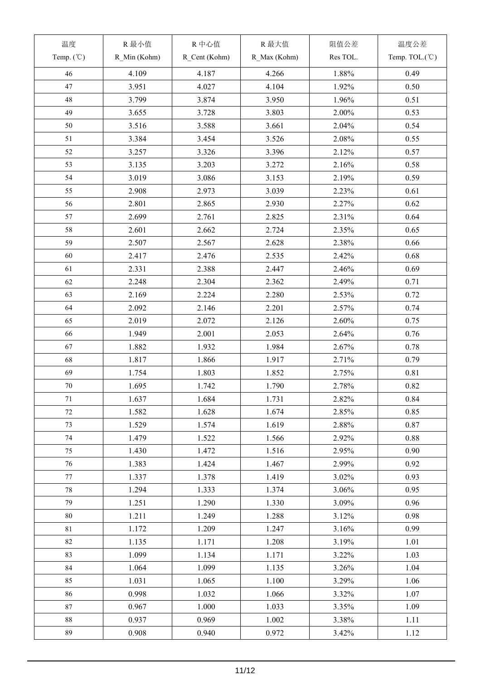| 温度                   | R 最小值        | R中心值          | R 最大值        | 阻值公差     | 温度公差           |
|----------------------|--------------|---------------|--------------|----------|----------------|
| Temp. $({\degree}C)$ | R_Min (Kohm) | R_Cent (Kohm) | R_Max (Kohm) | Res TOL. | Temp. TOL.(°C) |
| 46                   | 4.109        | 4.187         | 4.266        | 1.88%    | 0.49           |
| 47                   | 3.951        | 4.027         | 4.104        | 1.92%    | 0.50           |
| $48\,$               | 3.799        | 3.874         | 3.950        | 1.96%    | 0.51           |
| 49                   | 3.655        | 3.728         | 3.803        | 2.00%    | 0.53           |
| $50\,$               | 3.516        | 3.588         | 3.661        | 2.04%    | 0.54           |
| 51                   | 3.384        | 3.454         | 3.526        | 2.08%    | 0.55           |
| 52                   | 3.257        | 3.326         | 3.396        | 2.12%    | 0.57           |
| 53                   | 3.135        | 3.203         | 3.272        | 2.16%    | 0.58           |
| 54                   | 3.019        | 3.086         | 3.153        | 2.19%    | 0.59           |
| 55                   | 2.908        | 2.973         | 3.039        | 2.23%    | 0.61           |
| 56                   | 2.801        | 2.865         | 2.930        | 2.27%    | 0.62           |
| 57                   | 2.699        | 2.761         | 2.825        | 2.31%    | 0.64           |
| 58                   | 2.601        | 2.662         | 2.724        | 2.35%    | 0.65           |
| 59                   | 2.507        | 2.567         | 2.628        | 2.38%    | 0.66           |
| 60                   |              |               |              | 2.42%    | 0.68           |
|                      | 2.417        | 2.476         | 2.535        |          |                |
| 61                   | 2.331        | 2.388         | 2.447        | 2.46%    | 0.69           |
| 62                   | 2.248        | 2.304         | 2.362        | 2.49%    | 0.71           |
| 63                   | 2.169        | 2.224         | 2.280        | 2.53%    | 0.72           |
| 64                   | 2.092        | 2.146         | 2.201        | 2.57%    | 0.74           |
| 65                   | 2.019        | 2.072         | 2.126        | 2.60%    | 0.75           |
| 66                   | 1.949        | 2.001         | 2.053        | 2.64%    | 0.76           |
| 67                   | 1.882        | 1.932         | 1.984        | 2.67%    | 0.78           |
| 68                   | 1.817        | 1.866         | 1.917        | 2.71%    | 0.79           |
| 69                   | 1.754        | 1.803         | 1.852        | 2.75%    | 0.81           |
| $70\,$               | 1.695        | 1.742         | 1.790        | 2.78%    | 0.82           |
| 71                   | 1.637        | 1.684         | 1.731        | 2.82%    | 0.84           |
| 72                   | 1.582        | 1.628         | 1.674        | 2.85%    | 0.85           |
| 73                   | 1.529        | 1.574         | 1.619        | 2.88%    | 0.87           |
| 74                   | 1.479        | 1.522         | 1.566        | 2.92%    | 0.88           |
| 75                   | 1.430        | 1.472         | 1.516        | 2.95%    | 0.90           |
| 76                   | 1.383        | 1.424         | 1.467        | 2.99%    | 0.92           |
| 77                   | 1.337        | 1.378         | 1.419        | 3.02%    | 0.93           |
| 78                   | 1.294        | 1.333         | 1.374        | 3.06%    | 0.95           |
| 79                   | 1.251        | 1.290         | 1.330        | 3.09%    | 0.96           |
| $80\,$               | 1.211        | 1.249         | 1.288        | 3.12%    | 0.98           |
| 81                   | 1.172        | 1.209         | 1.247        | 3.16%    | 0.99           |
| 82                   | 1.135        | 1.171         | 1.208        | 3.19%    | 1.01           |
| 83                   | 1.099        | 1.134         | 1.171        | 3.22%    | 1.03           |
| 84                   | 1.064        | 1.099         | 1.135        | 3.26%    | 1.04           |
| 85                   | 1.031        | 1.065         | 1.100        | 3.29%    | 1.06           |
| 86                   | 0.998        | 1.032         | 1.066        | 3.32%    | 1.07           |
| 87                   | 0.967        | 1.000         | 1.033        | 3.35%    | 1.09           |
| 88                   | 0.937        | 0.969         | 1.002        | 3.38%    | 1.11           |
| 89                   | 0.908        | 0.940         | 0.972        | 3.42%    | 1.12           |